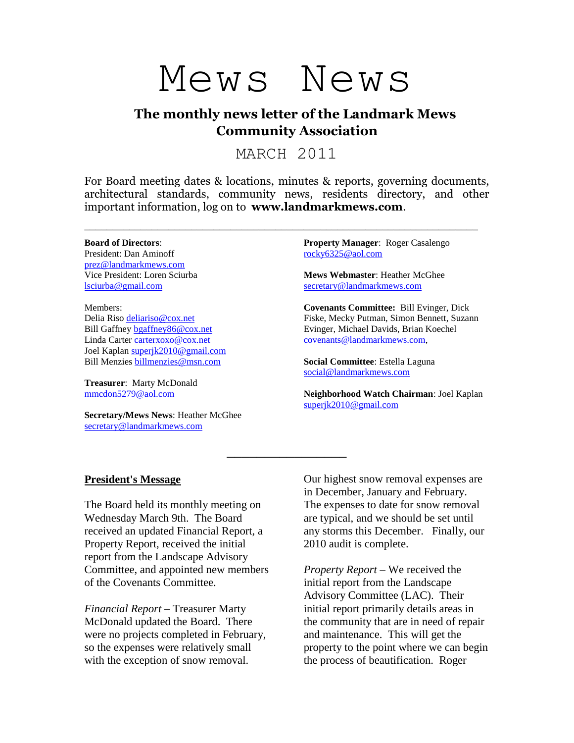# Mews News

## **The monthly news letter of the Landmark Mews Community Association**

MARCH 2011

For Board meeting dates & locations, minutes & reports, governing documents, architectural standards, community news, residents directory, and other important information, log on to **www.landmarkmews.com**.

\_\_\_\_\_\_\_\_\_\_\_\_\_\_\_\_\_\_\_\_\_\_\_\_\_\_\_\_\_\_\_\_\_\_\_\_\_\_\_\_\_\_\_\_\_\_\_\_\_\_\_\_\_\_\_\_\_\_\_\_\_\_\_\_\_\_\_\_\_\_

\_\_\_\_\_\_\_\_\_\_\_\_\_\_\_\_

#### **Board of Directors**:

President: Dan Aminoff [prez@landmarkmews.com](file:///C:/Documents%20and%20Settings/hmcghee/Local%20Settings/Temporary%20Internet%20Files/Content.IE5/C7SWZDPL/prez@landmarkmews.com) Vice President: Loren Sciurba [lsciurba@gmail.com](file:///C:/Documents%20and%20Settings/hmcghee/Local%20Settings/Temporary%20Internet%20Files/Content.IE5/UJ34L0H5/lsciurba@gmail.com)

Members: Delia Riso [deliariso@cox.net](mailto:deliariso@cox.net) Bill Gaffney [bgaffney86@cox.net](mailto:bgaffney86@cox.net) Linda Carter [carterxoxo@cox.net](mailto:carterxoxo@cox.net) Joel Kaplan [superjk2010@gmail.com](mailto:superjk2010@gmail.com) Bill Menzies [billmenzies@msn.com](file:///D:/Mews%20News/billmenzies@msn.com)

**Treasurer**: Marty McDonald [mmcdon5279@aol.com](mailto:mmcdon5279@aol.com)

**Secretary/Mews News**: Heather McGhee [secretary@landmarkmews.com](mailto:secretary@landmarkmews.com)

**Property Manager**: Roger Casalengo [rocky6325@aol.com](mailto:rocky6325@aol.com)

**Mews Webmaster**: Heather McGhee [secretary@landmarkmews.com](mailto:secretary@landmarkmews.com)

**Covenants Committee:** Bill Evinger, Dick Fiske, Mecky Putman, Simon Bennett, Suzann Evinger, Michael Davids, Brian Koechel [covenants@landmarkmews.com,](file:///C:/Documents%20and%20Settings/hmcghee/Local%20Settings/Temporary%20Internet%20Files/Content.IE5/C7SWZDPL/covenants@landmarkmews.com)

**Social Committee**: Estella Laguna [social@landmarkmews.com](mailto:social@landmarkmews.com)

**Neighborhood Watch Chairman**: Joel Kaplan [superjk2010@gmail.com](mailto:superjk2010@gmail.com)

#### **President's Message**

The Board held its monthly meeting on Wednesday March 9th. The Board received an updated Financial Report, a Property Report, received the initial report from the Landscape Advisory Committee, and appointed new members of the Covenants Committee.

*Financial Report* – Treasurer Marty McDonald updated the Board. There were no projects completed in February, so the expenses were relatively small with the exception of snow removal.

Our highest snow removal expenses are in December, January and February. The expenses to date for snow removal are typical, and we should be set until any storms this December. Finally, our 2010 audit is complete.

*Property Report* – We received the initial report from the Landscape Advisory Committee (LAC). Their initial report primarily details areas in the community that are in need of repair and maintenance. This will get the property to the point where we can begin the process of beautification. Roger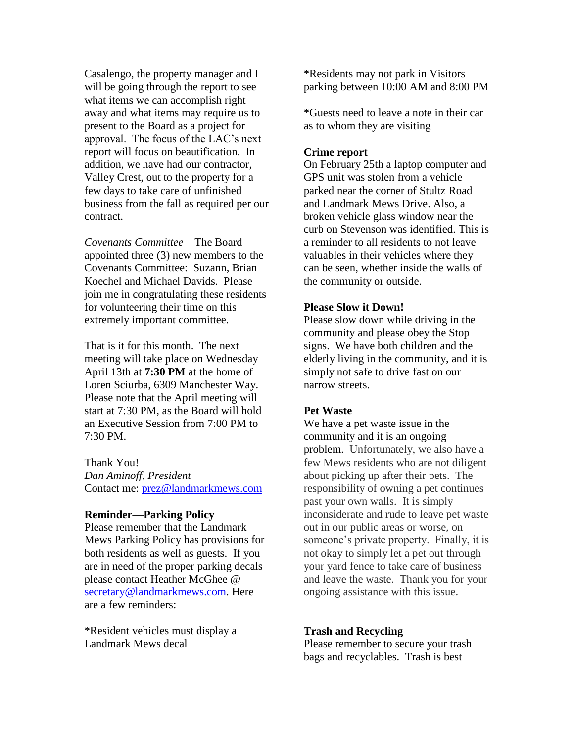Casalengo, the property manager and I will be going through the report to see what items we can accomplish right away and what items may require us to present to the Board as a project for approval. The focus of the LAC's next report will focus on beautification. In addition, we have had our contractor, Valley Crest, out to the property for a few days to take care of unfinished business from the fall as required per our contract.

*Covenants Committee –* The Board appointed three (3) new members to the Covenants Committee: Suzann, Brian Koechel and Michael Davids. Please join me in congratulating these residents for volunteering their time on this extremely important committee.

That is it for this month. The next meeting will take place on Wednesday April 13th at **7:30 PM** at the home of Loren Sciurba, 6309 Manchester Way. Please note that the April meeting will start at 7:30 PM, as the Board will hold an Executive Session from 7:00 PM to 7:30 PM.

Thank You! *Dan Aminoff, President* Contact me: [prez@landmarkmews.com](mailto:prez@landmarkmews.com)

#### **Reminder—Parking Policy**

Please remember that the Landmark Mews Parking Policy has provisions for both residents as well as guests. If you are in need of the proper parking decals please contact Heather McGhee @ [secretary@landmarkmews.com.](mailto:secretary@landmarkmews.com) Here are a few reminders:

\*Resident vehicles must display a Landmark Mews decal

\*Residents may not park in Visitors parking between 10:00 AM and 8:00 PM

\*Guests need to leave a note in their car as to whom they are visiting

#### **Crime report**

On February 25th a laptop computer and GPS unit was stolen from a vehicle parked near the corner of Stultz Road and Landmark Mews Drive. Also, a broken vehicle glass window near the curb on Stevenson was identified. This is a reminder to all residents to not leave valuables in their vehicles where they can be seen, whether inside the walls of the community or outside.

#### **Please Slow it Down!**

Please slow down while driving in the community and please obey the Stop signs. We have both children and the elderly living in the community, and it is simply not safe to drive fast on our narrow streets.

#### **Pet Waste**

We have a pet waste issue in the community and it is an ongoing problem. Unfortunately, we also have a few Mews residents who are not diligent about picking up after their pets. The responsibility of owning a pet continues past your own walls. It is simply inconsiderate and rude to leave pet waste out in our public areas or worse, on someone's private property. Finally, it is not okay to simply let a pet out through your yard fence to take care of business and leave the waste. Thank you for your ongoing assistance with this issue.

#### **Trash and Recycling**

Please remember to secure your trash bags and recyclables. Trash is best